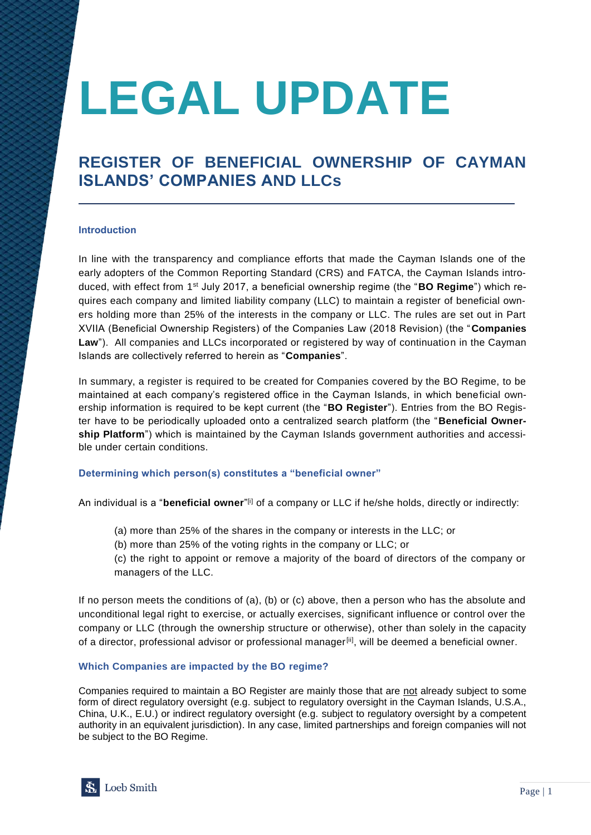# **LEGAL UPDATE**

# **REGISTER OF BENEFICIAL OWNERSHIP OF CAYMAN ISLANDS' COMPANIES AND LLCs**

## **Introduction**

In line with the transparency and compliance efforts that made the Cayman Islands one of the early adopters of the Common Reporting Standard (CRS) and FATCA, the Cayman Islands introduced, with effect from 1st July 2017, a beneficial ownership regime (the "**BO Regime**") which requires each company and limited liability company (LLC) to maintain a register of beneficial owners holding more than 25% of the interests in the company or LLC. The rules are set out in Part XVIIA (Beneficial Ownership Registers) of the Companies Law (2018 Revision) (the "**Companies**  Law"). All companies and LLCs incorporated or registered by way of continuation in the Cayman Islands are collectively referred to herein as "**Companies**".

In summary, a register is required to be created for Companies covered by the BO Regime, to be maintained at each company's registered office in the Cayman Islands, in which beneficial ownership information is required to be kept current (the "**BO Register**"). Entries from the BO Register have to be periodically uploaded onto a centralized search platform (the "**Beneficial Ownership Platform**") which is maintained by the Cayman Islands government authorities and accessible under certain conditions.

#### **Determining which person(s) constitutes a "beneficial owner"**

An individual is a "**beneficial owner**" [i] of a company or LLC if he/she holds, directly or indirectly:

- (a) more than 25% of the shares in the company or interests in the LLC; or
- (b) more than 25% of the voting rights in the company or LLC; or
- (c) the right to appoint or remove a majority of the board of directors of the company or managers of the LLC.

If no person meets the conditions of (a), (b) or (c) above, then a person who has the absolute and unconditional legal right to exercise, or actually exercises, significant influence or control over the company or LLC (through the ownership structure or otherwise), other than solely in the capacity of a director, professional advisor or professional manager<sup>[ii]</sup>, will be deemed a beneficial owner.

#### **Which Companies are impacted by the BO regime?**

Companies required to maintain a BO Register are mainly those that are not already subject to some form of direct regulatory oversight (e.g. subject to regulatory oversight in the Cayman Islands, U.S.A., China, U.K., E.U.) or indirect regulatory oversight (e.g. subject to regulatory oversight by a competent authority in an equivalent jurisdiction). In any case, limited partnerships and foreign companies will not be subject to the BO Regime.

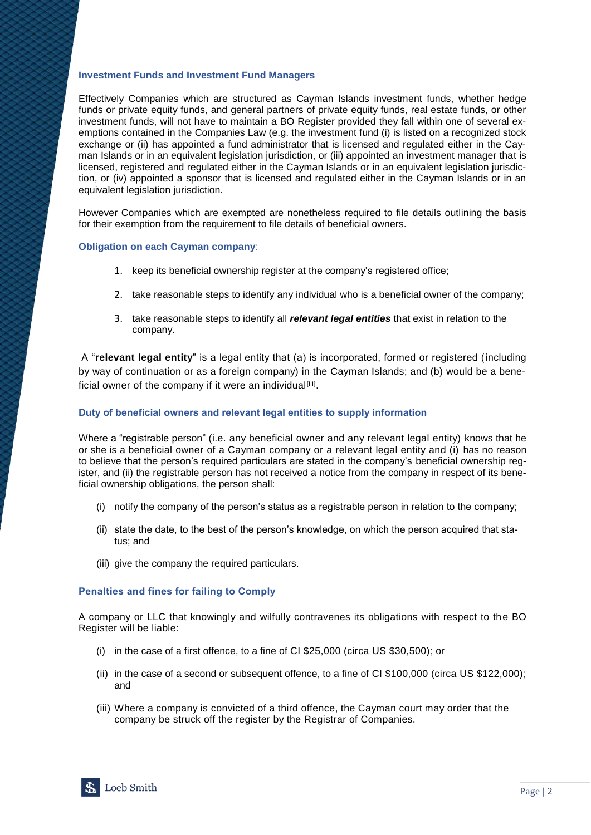#### **Investment Funds and Investment Fund Managers**

Effectively Companies which are structured as Cayman Islands investment funds, whether hedge funds or private equity funds, and general partners of private equity funds, real estate funds, or other investment funds, will not have to maintain a BO Register provided they fall within one of several exemptions contained in the Companies Law (e.g. the investment fund (i) is listed on a recognized stock exchange or (ii) has appointed a fund administrator that is licensed and regulated either in the Cayman Islands or in an equivalent legislation jurisdiction, or (iii) appointed an investment manager that is licensed, registered and regulated either in the Cayman Islands or in an equivalent legislation jurisdiction, or (iv) appointed a sponsor that is licensed and regulated either in the Cayman Islands or in an equivalent legislation jurisdiction.

However Companies which are exempted are nonetheless required to file details outlining the basis for their exemption from the requirement to file details of beneficial owners.

#### **Obligation on each Cayman company**:

- 1. keep its beneficial ownership register at the company's registered office;
- 2. take reasonable steps to identify any individual who is a beneficial owner of the company;
- 3. take reasonable steps to identify all *relevant legal entities* that exist in relation to the company.

A "**relevant legal entity**" is a legal entity that (a) is incorporated, formed or registered (including by way of continuation or as a foreign company) in the Cayman Islands; and (b) would be a beneficial owner of the company if it were an individual<sup>[iii]</sup>.

#### **Duty of beneficial owners and relevant legal entities to supply information**

Where a "registrable person" (i.e. any beneficial owner and any relevant legal entity) knows that he or she is a beneficial owner of a Cayman company or a relevant legal entity and (i) has no reason to believe that the person's required particulars are stated in the company's beneficial ownership register, and (ii) the registrable person has not received a notice from the company in respect of its beneficial ownership obligations, the person shall:

- (i) notify the company of the person's status as a registrable person in relation to the company;
- (ii) state the date, to the best of the person's knowledge, on which the person acquired that status; and
- (iii) give the company the required particulars.

#### **Penalties and fines for failing to Comply**

A company or LLC that knowingly and wilfully contravenes its obligations with respect to the BO Register will be liable:

- (i) in the case of a first offence, to a fine of CI \$25,000 (circa US \$30,500); or
- (ii) in the case of a second or subsequent offence, to a fine of CI \$100,000 (circa US \$122,000); and
- (iii) Where a company is convicted of a third offence, the Cayman court may order that the company be struck off the register by the Registrar of Companies.

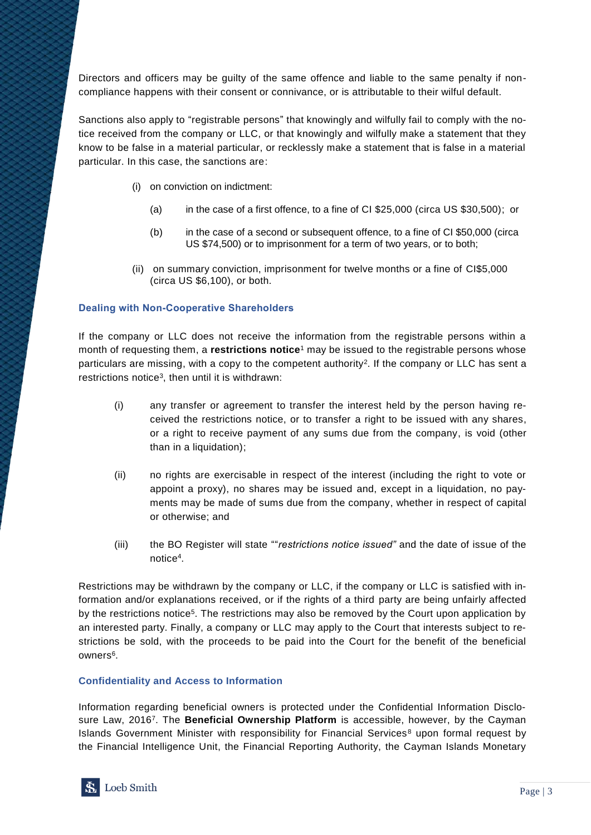Directors and officers may be guilty of the same offence and liable to the same penalty if noncompliance happens with their consent or connivance, or is attributable to their wilful default.

Sanctions also apply to "registrable persons" that knowingly and wilfully fail to comply with the notice received from the company or LLC, or that knowingly and wilfully make a statement that they know to be false in a material particular, or recklessly make a statement that is false in a material particular. In this case, the sanctions are:

- (i) on conviction on indictment:
	- (a) in the case of a first offence, to a fine of CI \$25,000 (circa US \$30,500); or
	- (b) in the case of a second or subsequent offence, to a fine of CI \$50,000 (circa US \$74,500) or to imprisonment for a term of two years, or to both;
- (ii) on summary conviction, imprisonment for twelve months or a fine of CI\$5,000 (circa US \$6,100), or both.

# **Dealing with Non-Cooperative Shareholders**

If the company or LLC does not receive the information from the registrable persons within a month of requesting them, a **restrictions notice**<sup>1</sup> may be issued to the registrable persons whose particulars are missing, with a copy to the competent authority<sup>2</sup>. If the company or LLC has sent a restrictions notice<sup>3</sup>, then until it is withdrawn:

- (i) any transfer or agreement to transfer the interest held by the person having received the restrictions notice, or to transfer a right to be issued with any shares, or a right to receive payment of any sums due from the company, is void (other than in a liquidation);
- (ii) no rights are exercisable in respect of the interest (including the right to vote or appoint a proxy), no shares may be issued and, except in a liquidation, no payments may be made of sums due from the company, whether in respect of capital or otherwise; and
- (iii) the BO Register will state ""*restrictions notice issued"* and the date of issue of the notice<sup>4</sup> .

Restrictions may be withdrawn by the company or LLC, if the company or LLC is satisfied with information and/or explanations received, or if the rights of a third party are being unfairly affected by the restrictions notice<sup>5</sup>. The restrictions may also be removed by the Court upon application by an interested party. Finally, a company or LLC may apply to the Court that interests subject to restrictions be sold, with the proceeds to be paid into the Court for the benefit of the beneficial owners<sup>6</sup>.

#### **Confidentiality and Access to Information**

Information regarding beneficial owners is protected under the Confidential Information Disclosure Law, 2016<sup>7</sup> . The **Beneficial Ownership Platform** is accessible, however, by the Cayman Islands Government Minister with responsibility for Financial Services<sup>8</sup> upon formal request by the Financial Intelligence Unit, the Financial Reporting Authority, the Cayman Islands Monetary